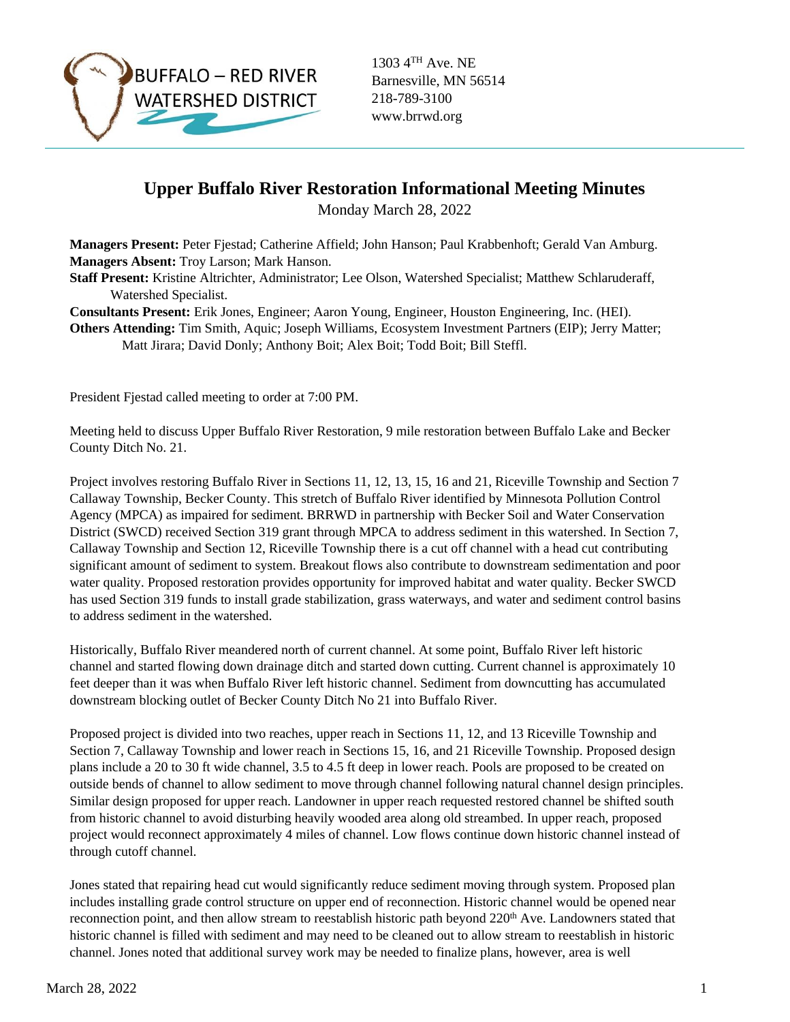

1303 4TH Ave. NE Barnesville, MN 56514 218-789-3100 www.brrwd.org

## **Upper Buffalo River Restoration Informational Meeting Minutes**

Monday March 28, 2022

**Managers Present:** Peter Fjestad; Catherine Affield; John Hanson; Paul Krabbenhoft; Gerald Van Amburg. **Managers Absent:** Troy Larson; Mark Hanson.

**Staff Present:** Kristine Altrichter, Administrator; Lee Olson, Watershed Specialist; Matthew Schlaruderaff, Watershed Specialist.

**Consultants Present:** Erik Jones, Engineer; Aaron Young, Engineer, Houston Engineering, Inc. (HEI).

**Others Attending:** Tim Smith, Aquic; Joseph Williams, Ecosystem Investment Partners (EIP); Jerry Matter; Matt Jirara; David Donly; Anthony Boit; Alex Boit; Todd Boit; Bill Steffl.

President Fjestad called meeting to order at 7:00 PM.

Meeting held to discuss Upper Buffalo River Restoration, 9 mile restoration between Buffalo Lake and Becker County Ditch No. 21.

Project involves restoring Buffalo River in Sections 11, 12, 13, 15, 16 and 21, Riceville Township and Section 7 Callaway Township, Becker County. This stretch of Buffalo River identified by Minnesota Pollution Control Agency (MPCA) as impaired for sediment. BRRWD in partnership with Becker Soil and Water Conservation District (SWCD) received Section 319 grant through MPCA to address sediment in this watershed. In Section 7, Callaway Township and Section 12, Riceville Township there is a cut off channel with a head cut contributing significant amount of sediment to system. Breakout flows also contribute to downstream sedimentation and poor water quality. Proposed restoration provides opportunity for improved habitat and water quality. Becker SWCD has used Section 319 funds to install grade stabilization, grass waterways, and water and sediment control basins to address sediment in the watershed.

Historically, Buffalo River meandered north of current channel. At some point, Buffalo River left historic channel and started flowing down drainage ditch and started down cutting. Current channel is approximately 10 feet deeper than it was when Buffalo River left historic channel. Sediment from downcutting has accumulated downstream blocking outlet of Becker County Ditch No 21 into Buffalo River.

Proposed project is divided into two reaches, upper reach in Sections 11, 12, and 13 Riceville Township and Section 7, Callaway Township and lower reach in Sections 15, 16, and 21 Riceville Township. Proposed design plans include a 20 to 30 ft wide channel, 3.5 to 4.5 ft deep in lower reach. Pools are proposed to be created on outside bends of channel to allow sediment to move through channel following natural channel design principles. Similar design proposed for upper reach. Landowner in upper reach requested restored channel be shifted south from historic channel to avoid disturbing heavily wooded area along old streambed. In upper reach, proposed project would reconnect approximately 4 miles of channel. Low flows continue down historic channel instead of through cutoff channel.

Jones stated that repairing head cut would significantly reduce sediment moving through system. Proposed plan includes installing grade control structure on upper end of reconnection. Historic channel would be opened near reconnection point, and then allow stream to reestablish historic path beyond 220<sup>th</sup> Ave. Landowners stated that historic channel is filled with sediment and may need to be cleaned out to allow stream to reestablish in historic channel. Jones noted that additional survey work may be needed to finalize plans, however, area is well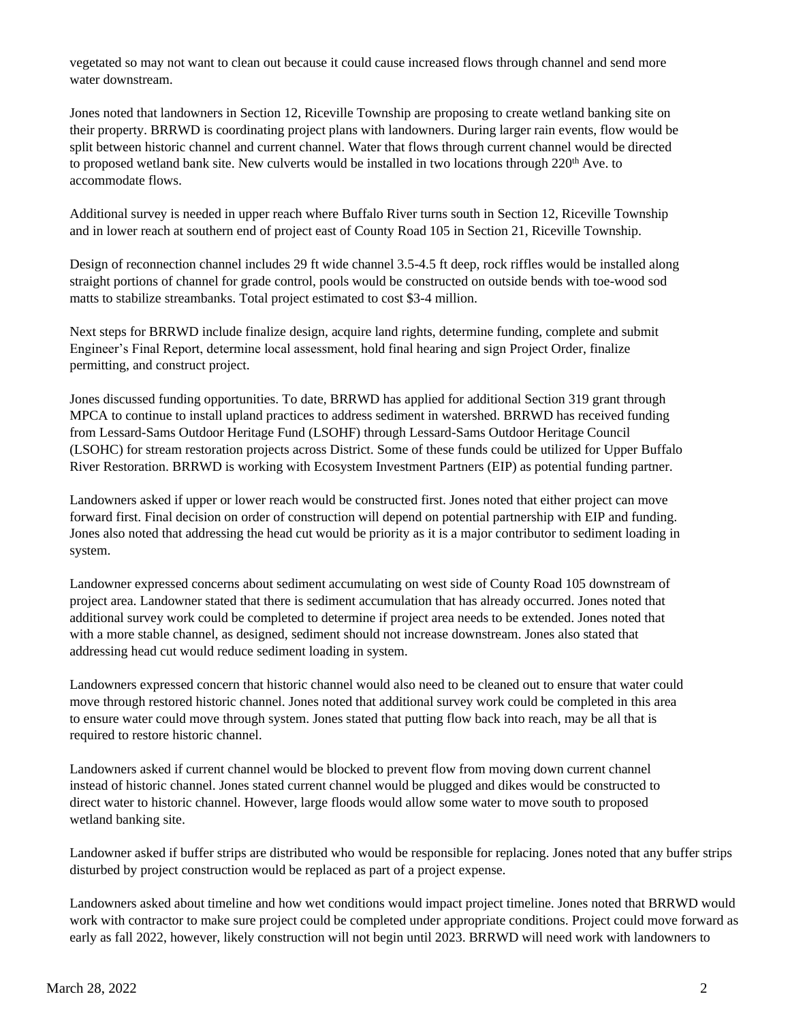vegetated so may not want to clean out because it could cause increased flows through channel and send more water downstream.

Jones noted that landowners in Section 12, Riceville Township are proposing to create wetland banking site on their property. BRRWD is coordinating project plans with landowners. During larger rain events, flow would be split between historic channel and current channel. Water that flows through current channel would be directed to proposed wetland bank site. New culverts would be installed in two locations through 220<sup>th</sup> Ave. to accommodate flows.

Additional survey is needed in upper reach where Buffalo River turns south in Section 12, Riceville Township and in lower reach at southern end of project east of County Road 105 in Section 21, Riceville Township.

Design of reconnection channel includes 29 ft wide channel 3.5-4.5 ft deep, rock riffles would be installed along straight portions of channel for grade control, pools would be constructed on outside bends with toe-wood sod matts to stabilize streambanks. Total project estimated to cost \$3-4 million.

Next steps for BRRWD include finalize design, acquire land rights, determine funding, complete and submit Engineer's Final Report, determine local assessment, hold final hearing and sign Project Order, finalize permitting, and construct project.

Jones discussed funding opportunities. To date, BRRWD has applied for additional Section 319 grant through MPCA to continue to install upland practices to address sediment in watershed. BRRWD has received funding from Lessard-Sams Outdoor Heritage Fund (LSOHF) through Lessard-Sams Outdoor Heritage Council (LSOHC) for stream restoration projects across District. Some of these funds could be utilized for Upper Buffalo River Restoration. BRRWD is working with Ecosystem Investment Partners (EIP) as potential funding partner.

Landowners asked if upper or lower reach would be constructed first. Jones noted that either project can move forward first. Final decision on order of construction will depend on potential partnership with EIP and funding. Jones also noted that addressing the head cut would be priority as it is a major contributor to sediment loading in system.

Landowner expressed concerns about sediment accumulating on west side of County Road 105 downstream of project area. Landowner stated that there is sediment accumulation that has already occurred. Jones noted that additional survey work could be completed to determine if project area needs to be extended. Jones noted that with a more stable channel, as designed, sediment should not increase downstream. Jones also stated that addressing head cut would reduce sediment loading in system.

Landowners expressed concern that historic channel would also need to be cleaned out to ensure that water could move through restored historic channel. Jones noted that additional survey work could be completed in this area to ensure water could move through system. Jones stated that putting flow back into reach, may be all that is required to restore historic channel.

Landowners asked if current channel would be blocked to prevent flow from moving down current channel instead of historic channel. Jones stated current channel would be plugged and dikes would be constructed to direct water to historic channel. However, large floods would allow some water to move south to proposed wetland banking site.

Landowner asked if buffer strips are distributed who would be responsible for replacing. Jones noted that any buffer strips disturbed by project construction would be replaced as part of a project expense.

Landowners asked about timeline and how wet conditions would impact project timeline. Jones noted that BRRWD would work with contractor to make sure project could be completed under appropriate conditions. Project could move forward as early as fall 2022, however, likely construction will not begin until 2023. BRRWD will need work with landowners to